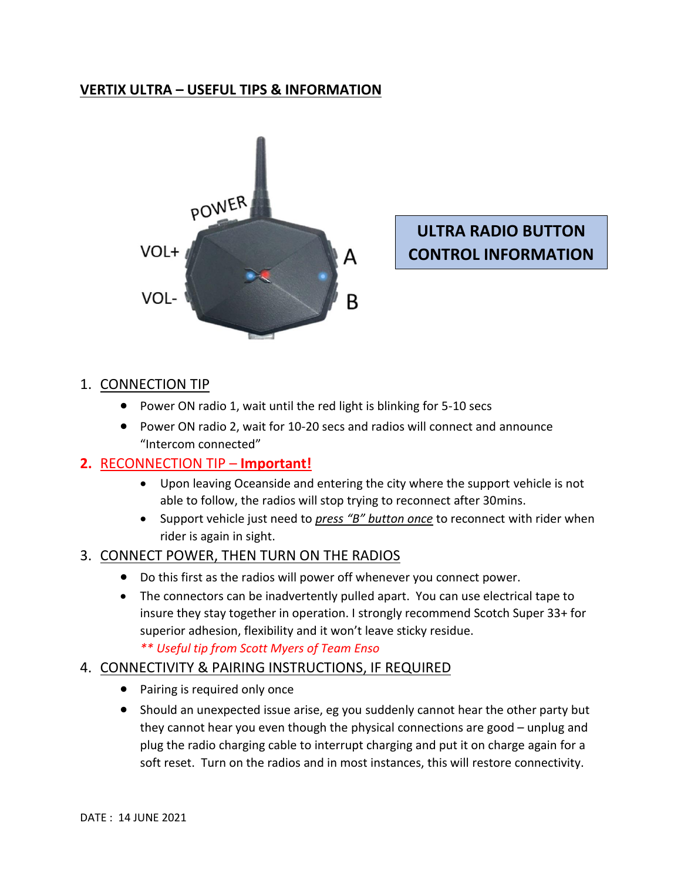## **VERTIX ULTRA – USEFUL TIPS & INFORMATION**



# **ULTRA RADIO BUTTON CONTROL INFORMATION**

### 1. CONNECTION TIP

- Power ON radio 1, wait until the red light is blinking for 5-10 secs
- Power ON radio 2, wait for 10-20 secs and radios will connect and announce "Intercom connected"

### **2.** RECONNECTION TIP – **Important!**

- Upon leaving Oceanside and entering the city where the support vehicle is not able to follow, the radios will stop trying to reconnect after 30mins.
- Support vehicle just need to *press "B" button once* to reconnect with rider when rider is again in sight.

### 3. CONNECT POWER, THEN TURN ON THE RADIOS

- Do this first as the radios will power off whenever you connect power.
- The connectors can be inadvertently pulled apart. You can use electrical tape to insure they stay together in operation. I strongly recommend Scotch Super 33+ for superior adhesion, flexibility and it won't leave sticky residue.

*\*\* Useful tip from Scott Myers of Team Enso*

### 4. CONNECTIVITY & PAIRING INSTRUCTIONS, IF REQUIRED

- Pairing is required only once
- Should an unexpected issue arise, eg you suddenly cannot hear the other party but they cannot hear you even though the physical connections are good – unplug and plug the radio charging cable to interrupt charging and put it on charge again for a soft reset. Turn on the radios and in most instances, this will restore connectivity.